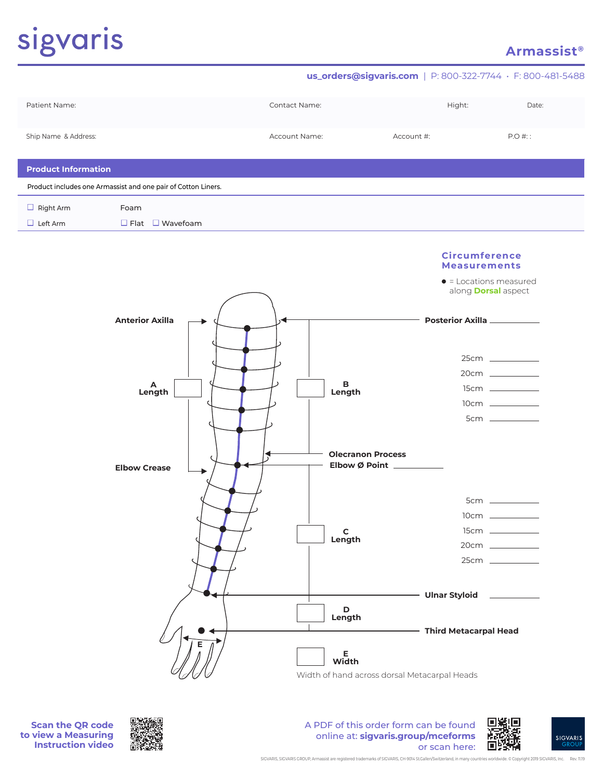# sigvaris

## **Armassist®**







A PDF of this order form can be found online at: **sigvaris.group/mceforms** or scan here: